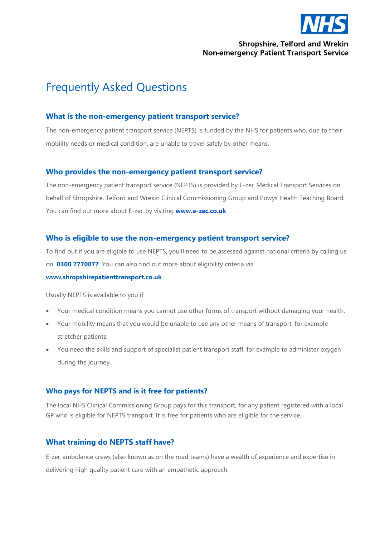

## **Shropshire, Telford and Wrekin Non-emergency Patient Transport Service**

# Frequently Asked Questions

## **What is the non-emergency patient transport service?**

The non-emergency patient transport service (NEPTS) is funded by the NHS for patients who, due to their mobility needs or medical condition, are unable to travel safely by other means.

## **Who provides the non-emergency patient transport service?**

The non-emergency patient transport service (NEPTS) is provided by E-zec Medical Transport Services on behalf of Shropshire, Telford and Wrekin Clinical Commissioning Group and Powys Health Teaching Board. You can find out more about E-zec by visiting **[www.e-zec.co.uk](http://www.e-zec.co.uk/)**

## **Who is eligible to use the non-emergency patient transport service?**

To find out if you are eligible to use NEPTS, you'll need to be assessed against national criteria by calling us on **0300 7770077**. You can also find out more about eligibility criteria via **[www.shropshirepatienttransport.co.uk](http://www.shropshirepatienttransport.co.uk/)**

Usually NEPTS is available to you if:

- Your medical condition means you cannot use other forms of transport without damaging your health.
- Your mobility means that you would be unable to use any other means of transport, for example stretcher patients.
- You need the skills and support of specialist patient transport staff, for example to administer oxygen during the journey.

## **Who pays for NEPTS and is it free for patients?**

The local NHS Clinical Commissioning Group pays for this transport, for any patient registered with a local GP who is eligible for NEPTS transport. It is free for patients who are eligible for the service.

## **What training do NEPTS staff have?**

E-zec ambulance crews (also known as on the road teams) have a wealth of experience and expertise in delivering high quality patient care with an empathetic approach.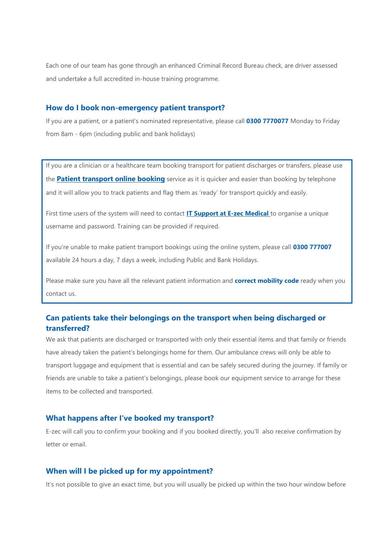Each one of our team has gone through an enhanced Criminal Record Bureau check, are driver assessed and undertake a full accredited in-house [training programme.](https://e-zec.co.uk/careers/training/)

#### **How do I book non-emergency patient transport?**

If you are a patient, or a patient's nominated representative, please call **0300 7770077** Monday to Friday from 8am - 6pm (including public and bank holidays)

If you are a clinician or a healthcare team booking transport for patient discharges or transfers, please use the **[Patient transport online booking](http://www.ptsbookings.co.uk/ptsonline)** service as it is quicker and easier than booking by telephone and it will allow you to track patients and flag them as 'ready' for transport quickly and easily.

First time users of the system will need to contact **[IT Support at E-zec Medical](mailto:it.support@e-zec.co.uk)** to organise a unique username and password. Training can be provided if required.

If you're unable to make patient transport bookings using the online system, please call **0300 777007** available 24 hours a day, 7 days a week, including Public and Bank Holidays.

Please make sure you have all the relevant patient information and **correct mobility code** ready when you contact us.

# **Can patients take their belongings on the transport when being discharged or transferred?**

We ask that patients are discharged or transported with only their essential items and that family or friends have already taken the patient's belongings home for them. Our ambulance crews will only be able to transport luggage and equipment that is essential and can be safely secured during the journey. If family or friends are unable to take a patient's belongings, please book our equipment service to arrange for these items to be collected and transported.

### **What happens after I've booked my transport?**

E-zec will call you to confirm your booking and if you booked directly, you'll also receive confirmation by letter or email.

### **When will I be picked up for my appointment?**

It's not possible to give an exact time, but you will usually be picked up within the two hour window before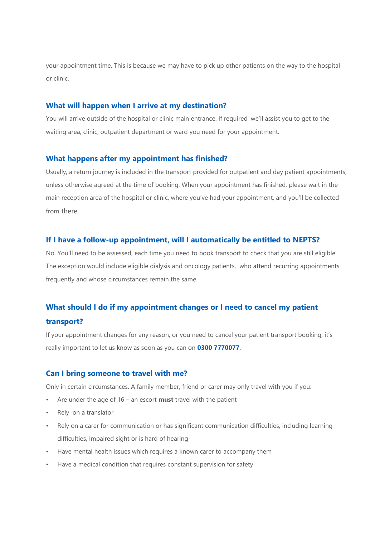your appointment time. This is because we may have to pick up other patients on the way to the hospital or clinic.

#### **What will happen when I arrive at my destination?**

You will arrive outside of the hospital or clinic main entrance. If required, we'll assist you to get to the waiting area, clinic, outpatient department or ward you need for your appointment.

#### **What happens after my appointment has finished?**

Usually, a return journey is included in the transport provided for outpatient and day patient appointments, unless otherwise agreed at the time of booking. When your appointment has finished, please wait in the main reception area of the hospital or clinic, where you've had your appointment, and you'll be collected from there.

### **If I have a follow-up appointment, will I automatically be entitled to NEPTS?**

No. You'll need to be assessed, each time you need to book transport to check that you are still eligible. The exception would include eligible dialysis and oncology patients, who attend recurring appointments frequently and whose circumstances remain the same.

# **What should I do if my appointment changes or I need to cancel my patient**

### **transport?**

If your appointment changes for any reason, or you need to cancel your patient transport booking, it's really important to let us know as soon as you can on **0300 7770077**.

#### **Can I bring someone to travel with me?**

Only in certain circumstances. A family member, friend or carer may only travel with you if you:

- Are under the age of 16 an escort **must** travel with the patient
- Rely on a translator
- Rely on a carer for communication or has significant communication difficulties, including learning difficulties, impaired sight or is hard of hearing
- Have mental health issues which requires a known carer to accompany them
- Have a medical condition that requires constant supervision for safety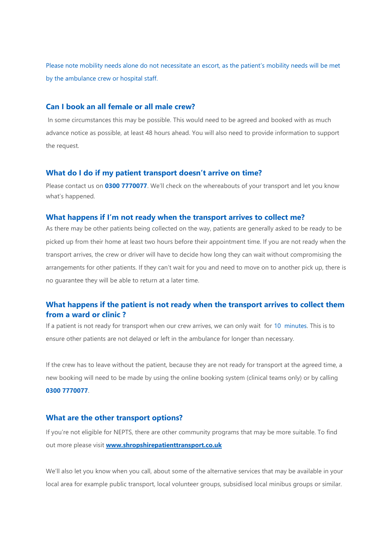Please note mobility needs alone do not necessitate an escort, as the patient's mobility needs will be met by the ambulance crew or hospital staff.

#### **Can I book an all female or all male crew?**

In some circumstances this may be possible. This would need to be agreed and booked with as much advance notice as possible, at least 48 hours ahead. You will also need to provide information to support the request.

#### **What do I do if my patient transport doesn't arrive on time?**

Please contact us on **0300 7770077**. We'll check on the whereabouts of your transport and let you know what's happened.

#### **What happens if I'm not ready when the transport arrives to collect me?**

As there may be other patients being collected on the way, patients are generally asked to be ready to be picked up from their home at least two hours before their appointment time. If you are not ready when the transport arrives, the crew or driver will have to decide how long they can wait without compromising the arrangements for other patients. If they can't wait for you and need to move on to another pick up, there is no guarantee they will be able to return at a later time.

## **What happens if the patient is not ready when the transport arrives to collect them from a ward or clinic ?**

If a patient is not ready for transport when our crew arrives, we can only wait for 10 minutes. This is to ensure other patients are not delayed or left in the ambulance for longer than necessary.

If the crew has to leave without the patient, because they are not ready for transport at the agreed time, a new booking will need to be made by using the online booking system (clinical teams only) or by calling **0300 7770077**.

#### **What are the other transport options?**

If you're not eligible for NEPTS, there are other community programs that may be more suitable. To find out more please visit **[www.shropshirepatienttransport.co.uk](http://www.shropshirepatienttransport.co.uk/)**

We'll also let you know when you call, about some of the alternative services that may be available in your local area for example public transport, local volunteer groups, subsidised local minibus groups or similar.